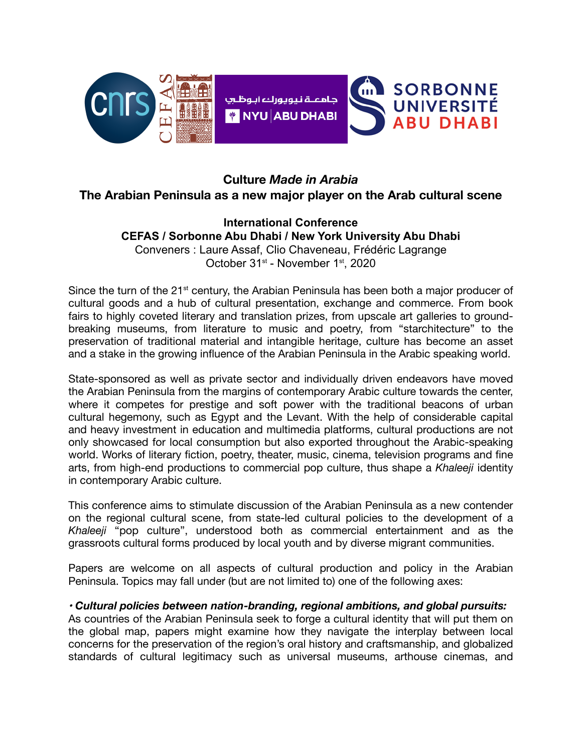

# **Culture** *Made in Arabia*

## **The Arabian Peninsula as a new major player on the Arab cultural scene**

### **International Conference CEFAS / Sorbonne Abu Dhabi / New York University Abu Dhabi** Conveners : Laure Assaf, Clio Chaveneau, Frédéric Lagrange

October 31<sup>st</sup> - November 1<sup>st</sup>, 2020

Since the turn of the  $21<sup>st</sup>$  century, the Arabian Peninsula has been both a major producer of cultural goods and a hub of cultural presentation, exchange and commerce. From book fairs to highly coveted literary and translation prizes, from upscale art galleries to groundbreaking museums, from literature to music and poetry, from "starchitecture" to the preservation of traditional material and intangible heritage, culture has become an asset and a stake in the growing influence of the Arabian Peninsula in the Arabic speaking world.

State-sponsored as well as private sector and individually driven endeavors have moved the Arabian Peninsula from the margins of contemporary Arabic culture towards the center, where it competes for prestige and soft power with the traditional beacons of urban cultural hegemony, such as Egypt and the Levant. With the help of considerable capital and heavy investment in education and multimedia platforms, cultural productions are not only showcased for local consumption but also exported throughout the Arabic-speaking world. Works of literary fiction, poetry, theater, music, cinema, television programs and fine arts, from high-end productions to commercial pop culture, thus shape a *Khaleeji* identity in contemporary Arabic culture.

This conference aims to stimulate discussion of the Arabian Peninsula as a new contender on the regional cultural scene, from state-led cultural policies to the development of a *Khaleeji* "pop culture", understood both as commercial entertainment and as the grassroots cultural forms produced by local youth and by diverse migrant communities.

Papers are welcome on all aspects of cultural production and policy in the Arabian Peninsula. Topics may fall under (but are not limited to) one of the following axes:

#### *• Cultural policies between nation-branding, regional ambitions, and global pursuits:*

As countries of the Arabian Peninsula seek to forge a cultural identity that will put them on the global map, papers might examine how they navigate the interplay between local concerns for the preservation of the region's oral history and craftsmanship, and globalized standards of cultural legitimacy such as universal museums, arthouse cinemas, and